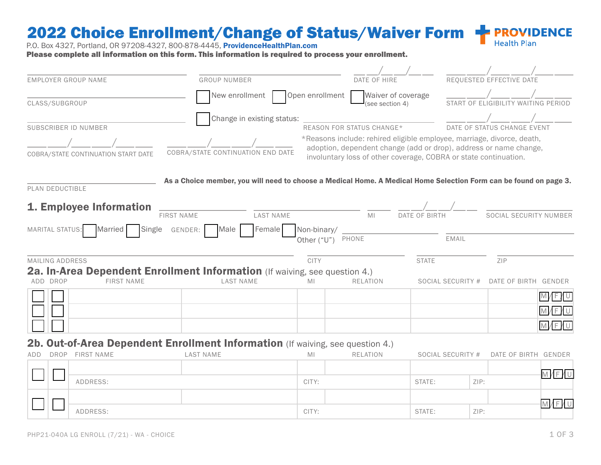#### 2022 Choice Enrollment/Change of Status/Waiver Form **PROVIDENCE Health Plan**

P.O. Box 4327, Portland, OR 97208-4327, 800-878-4445, ProvidenceHealthPlan.com

Please complete all information on this form. This information is required to process your enrollment.

| EMPLOYER GROUP NAME                                                                                                | <b>GROUP NUMBER</b>                                                                                               |                                                                                                                                                                                                                 | DATE OF HIRE                          |               |                   | REQUESTED EFFECTIVE DATE            |       |
|--------------------------------------------------------------------------------------------------------------------|-------------------------------------------------------------------------------------------------------------------|-----------------------------------------------------------------------------------------------------------------------------------------------------------------------------------------------------------------|---------------------------------------|---------------|-------------------|-------------------------------------|-------|
| CLASS/SUBGROUP                                                                                                     | New enrollment                                                                                                    | Open enrollment                                                                                                                                                                                                 | Waiver of coverage<br>(see section 4) |               |                   | START OF ELIGIBILITY WAITING PERIOD |       |
|                                                                                                                    | Change in existing status:                                                                                        |                                                                                                                                                                                                                 |                                       |               |                   |                                     |       |
| SUBSCRIBER ID NUMBER                                                                                               |                                                                                                                   |                                                                                                                                                                                                                 | REASON FOR STATUS CHANGE*             |               |                   | DATE OF STATUS CHANGE EVENT         |       |
| COBRA/STATE CONTINUATION START DATE                                                                                | COBRA/STATE CONTINUATION END DATE                                                                                 | *Reasons include: rehired eligible employee, marriage, divorce, death,<br>adoption, dependent change (add or drop), address or name change,<br>involuntary loss of other coverage, COBRA or state continuation. |                                       |               |                   |                                     |       |
| PLAN DEDUCTIBLE                                                                                                    | As a Choice member, you will need to choose a Medical Home. A Medical Home Selection Form can be found on page 3. |                                                                                                                                                                                                                 |                                       |               |                   |                                     |       |
| 1. Employee Information                                                                                            |                                                                                                                   |                                                                                                                                                                                                                 |                                       |               |                   |                                     |       |
| <b>FIRST NAME</b>                                                                                                  | LAST NAME                                                                                                         |                                                                                                                                                                                                                 | M <sub>l</sub>                        | DATE OF BIRTH |                   | SOCIAL SECURITY NUMBER              |       |
| Single<br>MARITAL STATUS: Married                                                                                  | GENDER:<br>Female<br>Male                                                                                         | Non-binary/                                                                                                                                                                                                     |                                       |               |                   |                                     |       |
|                                                                                                                    |                                                                                                                   | Other ("U")                                                                                                                                                                                                     | PHONE                                 |               | <b>EMAIL</b>      |                                     |       |
| MAILING ADDRESS                                                                                                    |                                                                                                                   | <b>CITY</b>                                                                                                                                                                                                     |                                       | <b>STATE</b>  |                   | ZIP                                 |       |
| 2a. In-Area Dependent Enrollment Information (If waiving, see question 4.)<br>ADD DROP<br><b>FIRST NAME</b>        | <b>LAST NAME</b>                                                                                                  | MI                                                                                                                                                                                                              | <b>RELATION</b>                       |               | SOCIAL SECURITY # | DATE OF BIRTH GENDER                |       |
|                                                                                                                    |                                                                                                                   |                                                                                                                                                                                                                 |                                       |               |                   |                                     | M/F/U |
|                                                                                                                    |                                                                                                                   |                                                                                                                                                                                                                 |                                       |               |                   |                                     | M/F/U |
|                                                                                                                    |                                                                                                                   |                                                                                                                                                                                                                 |                                       |               |                   |                                     | M/F/U |
| 2b. Out-of-Area Dependent Enrollment Information (If waiving, see question 4.)<br><b>FIRST NAME</b><br>DROP<br>ADD | <b>LAST NAME</b>                                                                                                  | MI                                                                                                                                                                                                              | <b>RELATION</b>                       |               | SOCIAL SECURITY # | DATE OF BIRTH GENDER                |       |
|                                                                                                                    |                                                                                                                   |                                                                                                                                                                                                                 |                                       |               |                   |                                     |       |
| ADDRESS:                                                                                                           |                                                                                                                   | CITY:                                                                                                                                                                                                           |                                       | STATE:        | ZIP:              |                                     | M/F/U |
|                                                                                                                    |                                                                                                                   |                                                                                                                                                                                                                 |                                       |               |                   |                                     | M/F/U |
| ADDDECC-                                                                                                           |                                                                                                                   | CITV                                                                                                                                                                                                            |                                       | CTATE-        | 7ID.              |                                     |       |

ADDRESS: CITY: STATE: ZIP: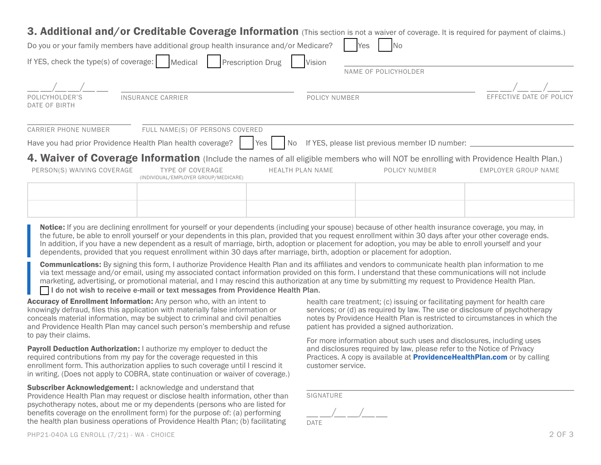## 3. Additional and/or Creditable Coverage Information (This section is not a waiver of coverage. It is required for payment of claims.)

| <b>3. Additional and/ or Greditable Goverage Information</b> (This section is not a waiver of coverage. It is required for payment of claims.)                                                                                                                                                                                                                                                                                                                                                                                                                                                                                                                                                                                                                                                                                                                                                                                                                                                                                                                                                                                                                                       |                                                                                                                                                                                                                                                                                          |                            |
|--------------------------------------------------------------------------------------------------------------------------------------------------------------------------------------------------------------------------------------------------------------------------------------------------------------------------------------------------------------------------------------------------------------------------------------------------------------------------------------------------------------------------------------------------------------------------------------------------------------------------------------------------------------------------------------------------------------------------------------------------------------------------------------------------------------------------------------------------------------------------------------------------------------------------------------------------------------------------------------------------------------------------------------------------------------------------------------------------------------------------------------------------------------------------------------|------------------------------------------------------------------------------------------------------------------------------------------------------------------------------------------------------------------------------------------------------------------------------------------|----------------------------|
| Do you or your family members have additional group health insurance and/or Medicare?                                                                                                                                                                                                                                                                                                                                                                                                                                                                                                                                                                                                                                                                                                                                                                                                                                                                                                                                                                                                                                                                                                | <b>No</b><br>Yes                                                                                                                                                                                                                                                                         |                            |
| If YES, check the type(s) of coverage:<br>Medical<br><b>Prescription Drug</b>                                                                                                                                                                                                                                                                                                                                                                                                                                                                                                                                                                                                                                                                                                                                                                                                                                                                                                                                                                                                                                                                                                        | Vision                                                                                                                                                                                                                                                                                   |                            |
|                                                                                                                                                                                                                                                                                                                                                                                                                                                                                                                                                                                                                                                                                                                                                                                                                                                                                                                                                                                                                                                                                                                                                                                      | NAME OF POLICYHOLDER                                                                                                                                                                                                                                                                     |                            |
|                                                                                                                                                                                                                                                                                                                                                                                                                                                                                                                                                                                                                                                                                                                                                                                                                                                                                                                                                                                                                                                                                                                                                                                      |                                                                                                                                                                                                                                                                                          |                            |
| POLICYHOLDER'S<br><b>INSURANCE CARRIER</b><br>DATE OF BIRTH                                                                                                                                                                                                                                                                                                                                                                                                                                                                                                                                                                                                                                                                                                                                                                                                                                                                                                                                                                                                                                                                                                                          | POLICY NUMBER                                                                                                                                                                                                                                                                            | EFFECTIVE DATE OF POLICY   |
| FULL NAME(S) OF PERSONS COVERED<br><b>CARRIER PHONE NUMBER</b>                                                                                                                                                                                                                                                                                                                                                                                                                                                                                                                                                                                                                                                                                                                                                                                                                                                                                                                                                                                                                                                                                                                       |                                                                                                                                                                                                                                                                                          |                            |
| Have you had prior Providence Health Plan health coverage?<br>Yes<br>No.                                                                                                                                                                                                                                                                                                                                                                                                                                                                                                                                                                                                                                                                                                                                                                                                                                                                                                                                                                                                                                                                                                             | If YES, please list previous member ID number:                                                                                                                                                                                                                                           |                            |
| 4. Waiver of Coverage Information (Include the names of all eligible members who will NOT be enrolling with Providence Health Plan.)                                                                                                                                                                                                                                                                                                                                                                                                                                                                                                                                                                                                                                                                                                                                                                                                                                                                                                                                                                                                                                                 |                                                                                                                                                                                                                                                                                          |                            |
| <b>TYPE OF COVERAGE</b><br>PERSON(S) WAIVING COVERAGE<br>(INDIVIDUAL/EMPLOYER GROUP/MEDICARE)                                                                                                                                                                                                                                                                                                                                                                                                                                                                                                                                                                                                                                                                                                                                                                                                                                                                                                                                                                                                                                                                                        | <b>HEALTH PLAN NAME</b><br>POLICY NUMBER                                                                                                                                                                                                                                                 | <b>EMPLOYER GROUP NAME</b> |
|                                                                                                                                                                                                                                                                                                                                                                                                                                                                                                                                                                                                                                                                                                                                                                                                                                                                                                                                                                                                                                                                                                                                                                                      |                                                                                                                                                                                                                                                                                          |                            |
|                                                                                                                                                                                                                                                                                                                                                                                                                                                                                                                                                                                                                                                                                                                                                                                                                                                                                                                                                                                                                                                                                                                                                                                      |                                                                                                                                                                                                                                                                                          |                            |
| Notice: If you are declining enrollment for yourself or your dependents (including your spouse) because of other health insurance coverage, you may, in<br>the future, be able to enroll yourself or your dependents in this plan, provided that you request enrollment within 30 days after your other coverage ends.<br>In addition, if you have a new dependent as a result of marriage, birth, adoption or placement for adoption, you may be able to enroll yourself and your<br>dependents, provided that you request enrollment within 30 days after marriage, birth, adoption or placement for adoption.<br><b>Communications:</b> By signing this form, I authorize Providence Health Plan and its affiliates and vendors to communicate health plan information to me<br>via text message and/or email, using my associated contact information provided on this form. I understand that these communications will not include<br>marketing, advertising, or promotional material, and I may rescind this authorization at any time by submitting my request to Providence Health Plan.<br>□ I do not wish to receive e-mail or text messages from Providence Health Plan. |                                                                                                                                                                                                                                                                                          |                            |
| Accuracy of Enrollment Information: Any person who, with an intent to<br>knowingly defraud, files this application with materially false information or<br>conceals material information, may be subject to criminal and civil penalties<br>and Providence Health Plan may cancel such person's membership and refuse<br>to pay their claims.                                                                                                                                                                                                                                                                                                                                                                                                                                                                                                                                                                                                                                                                                                                                                                                                                                        | health care treatment; (c) issuing or facilitating payment for health care<br>services; or (d) as required by law. The use or disclosure of psychotherapy<br>notes by Providence Health Plan is restricted to circumstances in which the<br>patient has provided a signed authorization. |                            |
| Payroll Deduction Authorization: I authorize my employer to deduct the<br>required contributions from my pay for the coverage requested in this<br>enrollment form. This authorization applies to such coverage until I rescind it<br>in writing. (Does not apply to COBRA, state continuation or waiver of coverage.)                                                                                                                                                                                                                                                                                                                                                                                                                                                                                                                                                                                                                                                                                                                                                                                                                                                               | For more information about such uses and disclosures, including uses<br>and disclosures required by law, please refer to the Notice of Privacy<br>Practices. A copy is available at <b>ProvidenceHealthPlan.com</b> or by calling<br>customer service.                                   |                            |
| Subscriber Acknowledgement: I acknowledge and understand that<br>Providence Health Plan may request or disclose health information, other than<br>psychotherapy notes, about me or my dependents (persons who are listed for<br>benefits coverage on the enrollment form) for the purpose of: (a) performing<br>the health plan business operations of Providence Health Plan; (b) facilitating                                                                                                                                                                                                                                                                                                                                                                                                                                                                                                                                                                                                                                                                                                                                                                                      | <b>SIGNATURE</b><br>DATF                                                                                                                                                                                                                                                                 |                            |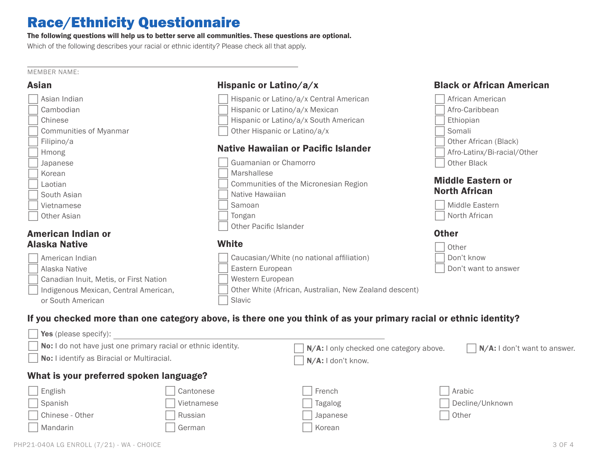# Race/Ethnicity Questionnaire

### The following questions will help us to better serve all communities. These questions are optional.

Which of the following describes your racial or ethnic identity? Please check all that apply.

#### MEMBER NAME:

| <b>Asian</b>                           | Hispanic or Latino/a/x                                                                                            | <b>Black or African American</b> |
|----------------------------------------|-------------------------------------------------------------------------------------------------------------------|----------------------------------|
| Asian Indian                           | Hispanic or Latino/a/x Central American                                                                           | African American                 |
| Cambodian                              | Hispanic or Latino/a/x Mexican                                                                                    | Afro-Caribbean                   |
| Chinese                                | Hispanic or Latino/a/x South American                                                                             | Ethiopian                        |
| Communities of Myanmar                 | Other Hispanic or Latino/a/x                                                                                      | Somali                           |
| Filipino/a                             |                                                                                                                   | Other African (Black)            |
| Hmong                                  | Native Hawaiian or Pacific Islander                                                                               | Afro-Latinx/Bi-racial/Other      |
| Japanese                               | Guamanian or Chamorro                                                                                             | Other Black                      |
| Korean                                 | Marshallese                                                                                                       |                                  |
| Laotian                                | Communities of the Micronesian Region                                                                             | <b>Middle Eastern or</b>         |
| South Asian                            | Native Hawaiian                                                                                                   | <b>North African</b>             |
| Vietnamese                             | Samoan                                                                                                            | Middle Eastern                   |
| Other Asian                            | Tongan                                                                                                            | North African                    |
|                                        | Other Pacific Islander                                                                                            |                                  |
| <b>American Indian or</b>              |                                                                                                                   | <b>Other</b>                     |
| <b>Alaska Native</b>                   | <b>White</b>                                                                                                      | Other                            |
| American Indian                        | Caucasian/White (no national affiliation)                                                                         | Don't know                       |
| Alaska Native                          | Eastern European                                                                                                  | Don't want to answer             |
| Canadian Inuit, Metis, or First Nation | Western European                                                                                                  |                                  |
| Indigenous Mexican, Central American,  | Other White (African, Australian, New Zealand descent)                                                            |                                  |
| or South American                      | Slavic                                                                                                            |                                  |
|                                        | If you checked more than one category above, is there one you think of as your primary racial or ethnic identity? |                                  |
| Yes (please specify):                  |                                                                                                                   |                                  |

| No: I do not have just one primary racial or ethnic identity.<br>No: I identify as Biracial or Multiracial. |            | $N/A$ : I don't know. | N/A: I only checked one category above.<br>$\vert N/A$ : I don't want to answer. |                 |  |  |  |
|-------------------------------------------------------------------------------------------------------------|------------|-----------------------|----------------------------------------------------------------------------------|-----------------|--|--|--|
| What is your preferred spoken language?                                                                     |            |                       |                                                                                  |                 |  |  |  |
| English                                                                                                     | Cantonese  | French                |                                                                                  | Arabic          |  |  |  |
| Spanish                                                                                                     | Vietnamese | Tagalog               |                                                                                  | Decline/Unknown |  |  |  |
| Chinese - Other                                                                                             | Russian    | Japanese              |                                                                                  | Other           |  |  |  |
| Mandarin                                                                                                    | German     | Korean                |                                                                                  |                 |  |  |  |